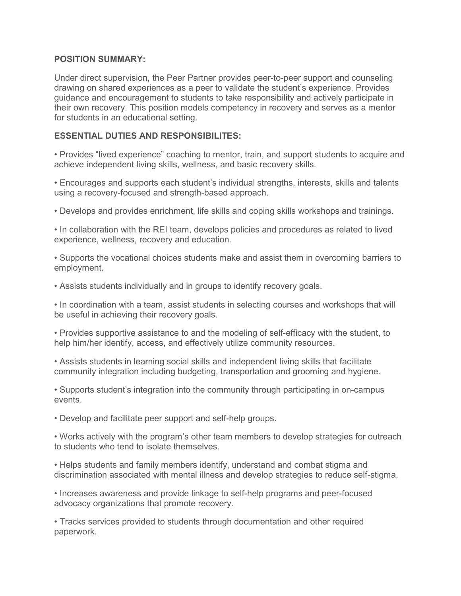### **POSITION SUMMARY:**

Under direct supervision, the Peer Partner provides peer-to-peer support and counseling drawing on shared experiences as a peer to validate the student's experience. Provides guidance and encouragement to students to take responsibility and actively participate in their own recovery. This position models competency in recovery and serves as a mentor for students in an educational setting.

# **ESSENTIAL DUTIES AND RESPONSIBILITES:**

• Provides "lived experience" coaching to mentor, train, and support students to acquire and achieve independent living skills, wellness, and basic recovery skills.

• Encourages and supports each student's individual strengths, interests, skills and talents using a recovery-focused and strength-based approach.

• Develops and provides enrichment, life skills and coping skills workshops and trainings.

• In collaboration with the REI team, develops policies and procedures as related to lived experience, wellness, recovery and education.

• Supports the vocational choices students make and assist them in overcoming barriers to employment.

• Assists students individually and in groups to identify recovery goals.

• In coordination with a team, assist students in selecting courses and workshops that will be useful in achieving their recovery goals.

• Provides supportive assistance to and the modeling of self-efficacy with the student, to help him/her identify, access, and effectively utilize community resources.

• Assists students in learning social skills and independent living skills that facilitate community integration including budgeting, transportation and grooming and hygiene.

• Supports student's integration into the community through participating in on-campus events.

• Develop and facilitate peer support and self-help groups.

• Works actively with the program's other team members to develop strategies for outreach to students who tend to isolate themselves.

• Helps students and family members identify, understand and combat stigma and discrimination associated with mental illness and develop strategies to reduce self-stigma.

• Increases awareness and provide linkage to self-help programs and peer-focused advocacy organizations that promote recovery.

• Tracks services provided to students through documentation and other required paperwork.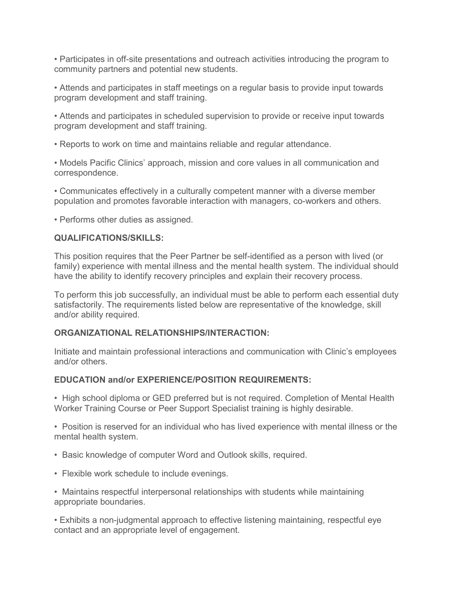• Participates in off-site presentations and outreach activities introducing the program to community partners and potential new students.

• Attends and participates in staff meetings on a regular basis to provide input towards program development and staff training.

• Attends and participates in scheduled supervision to provide or receive input towards program development and staff training.

• Reports to work on time and maintains reliable and regular attendance.

• Models Pacific Clinics' approach, mission and core values in all communication and correspondence.

• Communicates effectively in a culturally competent manner with a diverse member population and promotes favorable interaction with managers, co-workers and others.

• Performs other duties as assigned.

#### **QUALIFICATIONS/SKILLS:**

This position requires that the Peer Partner be self-identified as a person with lived (or family) experience with mental illness and the mental health system. The individual should have the ability to identify recovery principles and explain their recovery process.

To perform this job successfully, an individual must be able to perform each essential duty satisfactorily. The requirements listed below are representative of the knowledge, skill and/or ability required.

### **ORGANIZATIONAL RELATIONSHIPS/INTERACTION:**

Initiate and maintain professional interactions and communication with Clinic's employees and/or others.

#### **EDUCATION and/or EXPERIENCE/POSITION REQUIREMENTS:**

• High school diploma or GED preferred but is not required. Completion of Mental Health Worker Training Course or Peer Support Specialist training is highly desirable.

• Position is reserved for an individual who has lived experience with mental illness or the mental health system.

- Basic knowledge of computer Word and Outlook skills, required.
- Flexible work schedule to include evenings.
- Maintains respectful interpersonal relationships with students while maintaining appropriate boundaries.

• Exhibits a non-judgmental approach to effective listening maintaining, respectful eye contact and an appropriate level of engagement.